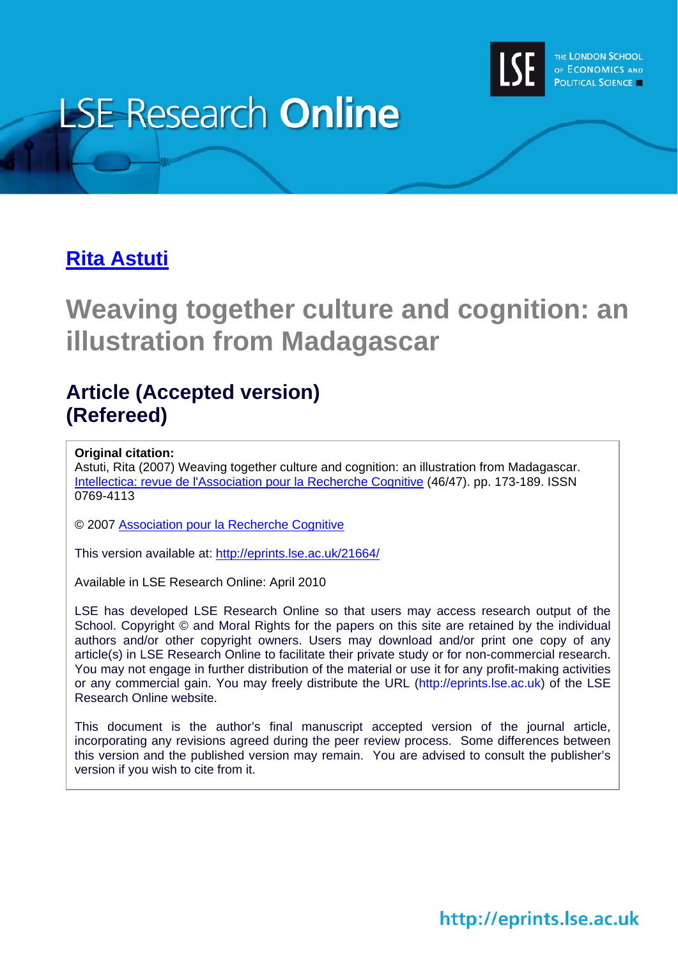

# **LSE Research Online**

# **[Rita Astuti](http://www2.lse.ac.uk/researchAndExpertise/Experts/r.astuti@lse.ac.uk)**

# **Weaving together culture and cognition: an illustration from Madagascar**

# **Article (Accepted version) (Refereed)**

#### **Original citation:**

Astuti, Rita (2007) Weaving together culture and cognition: an illustration from Madagascar. [Intellectica: revue de l'Association pour la Recherche Cognitive](http://www.intellectica.org/) (46/47). pp. 173-189. ISSN 0769-4113

© 2007 [Association pour la Recherche Cognitive](http://www.arco.asso.fr/)

This version available at: <http://eprints.lse.ac.uk/21664/>

Available in LSE Research Online: April 2010

LSE has developed LSE Research Online so that users may access research output of the School. Copyright © and Moral Rights for the papers on this site are retained by the individual authors and/or other copyright owners. Users may download and/or print one copy of any article(s) in LSE Research Online to facilitate their private study or for non-commercial research. You may not engage in further distribution of the material or use it for any profit-making activities or any commercial gain. You may freely distribute the URL (http://eprints.lse.ac.uk) of the LSE Research Online website.

This document is the author's final manuscript accepted version of the journal article, incorporating any revisions agreed during the peer review process. Some differences between this version and the published version may remain. You are advised to consult the publisher's version if you wish to cite from it.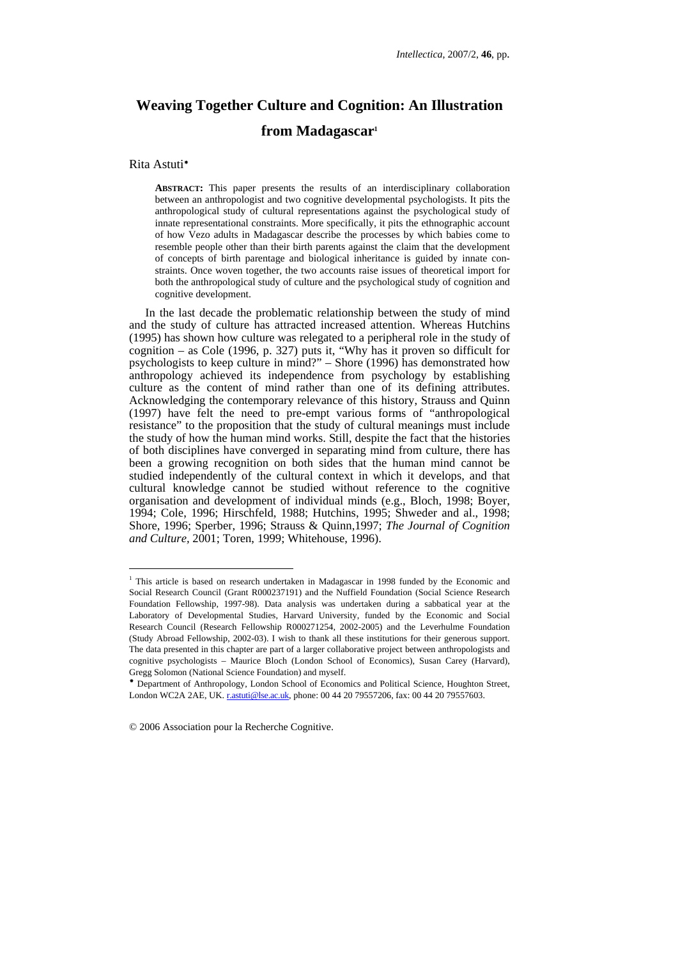### **Weaving Together Culture and Cognition: An Illustration from Madagascar1**

#### Rita Astuti

 $\overline{a}$ 

**ABSTRACT:** This paper presents the results of an interdisciplinary collaboration between an anthropologist and two cognitive developmental psychologists. It pits the anthropological study of cultural representations against the psychological study of innate representational constraints. More specifically, it pits the ethnographic account of how Vezo adults in Madagascar describe the processes by which babies come to resemble people other than their birth parents against the claim that the development of concepts of birth parentage and biological inheritance is guided by innate constraints. Once woven together, the two accounts raise issues of theoretical import for both the anthropological study of culture and the psychological study of cognition and cognitive development.

In the last decade the problematic relationship between the study of mind and the study of culture has attracted increased attention. Whereas Hutchins (1995) has shown how culture was relegated to a peripheral role in the study of cognition – as Cole (1996, p. 327) puts it, "Why has it proven so difficult for psychologists to keep culture in mind?" – Shore (1996) has demonstrated how anthropology achieved its independence from psychology by establishing culture as the content of mind rather than one of its defining attributes. Acknowledging the contemporary relevance of this history, Strauss and Quinn (1997) have felt the need to pre-empt various forms of "anthropological resistance" to the proposition that the study of cultural meanings must include the study of how the human mind works. Still, despite the fact that the histories of both disciplines have converged in separating mind from culture, there has been a growing recognition on both sides that the human mind cannot be studied independently of the cultural context in which it develops, and that cultural knowledge cannot be studied without reference to the cognitive organisation and development of individual minds (e.g., Bloch, 1998; Boyer, 1994; Cole, 1996; Hirschfeld, 1988; Hutchins, 1995; Shweder and al., 1998; Shore, 1996; Sperber, 1996; Strauss & Quinn,1997; *The Journal of Cognition and Culture,* 2001; Toren, 1999; Whitehouse, 1996).

© 2006 Association pour la Recherche Cognitive.

<sup>&</sup>lt;sup>1</sup> This article is based on research undertaken in Madagascar in 1998 funded by the Economic and Social Research Council (Grant R000237191) and the Nuffield Foundation (Social Science Research Foundation Fellowship, 1997-98). Data analysis was undertaken during a sabbatical year at the Laboratory of Developmental Studies, Harvard University, funded by the Economic and Social Research Council (Research Fellowship R000271254, 2002-2005) and the Leverhulme Foundation (Study Abroad Fellowship, 2002-03). I wish to thank all these institutions for their generous support. The data presented in this chapter are part of a larger collaborative project between anthropologists and cognitive psychologists – Maurice Bloch (London School of Economics), Susan Carey (Harvard), Gregg Solomon (National Science Foundation) and myself.

Department of Anthropology, London School of Economics and Political Science, Houghton Street, London WC2A 2AE, UK. r.astuti@lse.ac.uk, phone: 00 44 20 79557206, fax: 00 44 20 79557603.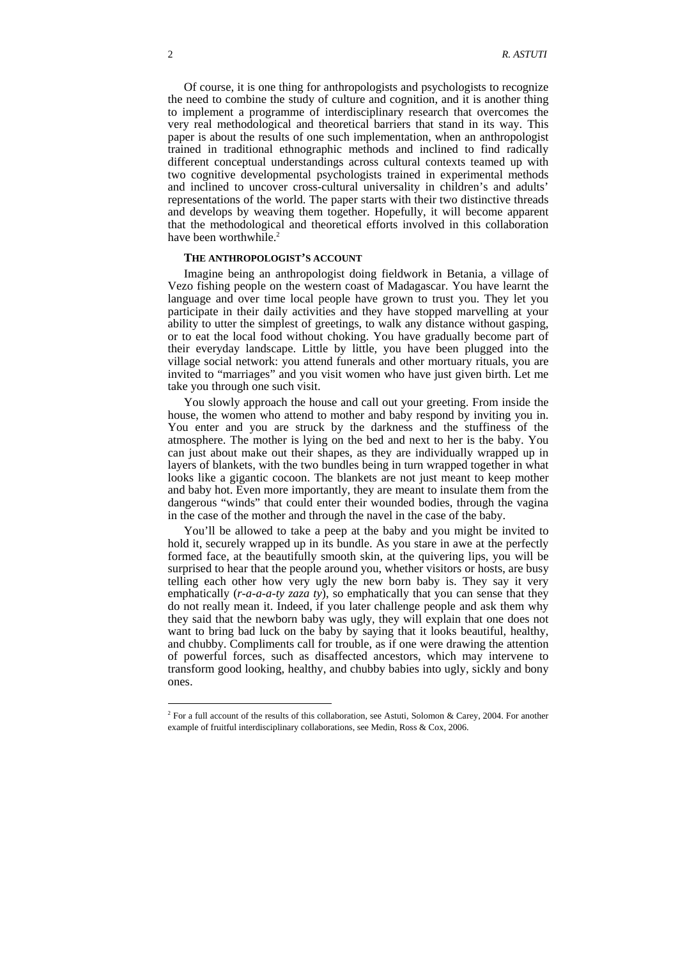Of course, it is one thing for anthropologists and psychologists to recognize the need to combine the study of culture and cognition, and it is another thing to implement a programme of interdisciplinary research that overcomes the very real methodological and theoretical barriers that stand in its way. This paper is about the results of one such implementation, when an anthropologist trained in traditional ethnographic methods and inclined to find radically different conceptual understandings across cultural contexts teamed up with two cognitive developmental psychologists trained in experimental methods and inclined to uncover cross-cultural universality in children's and adults' representations of the world. The paper starts with their two distinctive threads and develops by weaving them together. Hopefully, it will become apparent that the methodological and theoretical efforts involved in this collaboration have been worthwhile.<sup>2</sup>

#### **THE ANTHROPOLOGIST'S ACCOUNT**

Imagine being an anthropologist doing fieldwork in Betania, a village of Vezo fishing people on the western coast of Madagascar. You have learnt the language and over time local people have grown to trust you. They let you participate in their daily activities and they have stopped marvelling at your ability to utter the simplest of greetings, to walk any distance without gasping, or to eat the local food without choking. You have gradually become part of their everyday landscape. Little by little, you have been plugged into the village social network: you attend funerals and other mortuary rituals, you are invited to "marriages" and you visit women who have just given birth. Let me take you through one such visit.

You slowly approach the house and call out your greeting. From inside the house, the women who attend to mother and baby respond by inviting you in. You enter and you are struck by the darkness and the stuffiness of the atmosphere. The mother is lying on the bed and next to her is the baby. You can just about make out their shapes, as they are individually wrapped up in layers of blankets, with the two bundles being in turn wrapped together in what looks like a gigantic cocoon. The blankets are not just meant to keep mother and baby hot. Even more importantly, they are meant to insulate them from the dangerous "winds" that could enter their wounded bodies, through the vagina in the case of the mother and through the navel in the case of the baby.

You'll be allowed to take a peep at the baby and you might be invited to hold it, securely wrapped up in its bundle. As you stare in awe at the perfectly formed face, at the beautifully smooth skin, at the quivering lips, you will be surprised to hear that the people around you, whether visitors or hosts, are busy telling each other how very ugly the new born baby is. They say it very emphatically (*r-a-a-a-ty zaza ty*), so emphatically that you can sense that they do not really mean it. Indeed, if you later challenge people and ask them why they said that the newborn baby was ugly, they will explain that one does not want to bring bad luck on the baby by saying that it looks beautiful, healthy, and chubby. Compliments call for trouble, as if one were drawing the attention of powerful forces, such as disaffected ancestors, which may intervene to transform good looking, healthy, and chubby babies into ugly, sickly and bony ones.

1

<sup>&</sup>lt;sup>2</sup> For a full account of the results of this collaboration, see Astuti, Solomon & Carey, 2004. For another example of fruitful interdisciplinary collaborations, see Medin, Ross & Cox, 2006.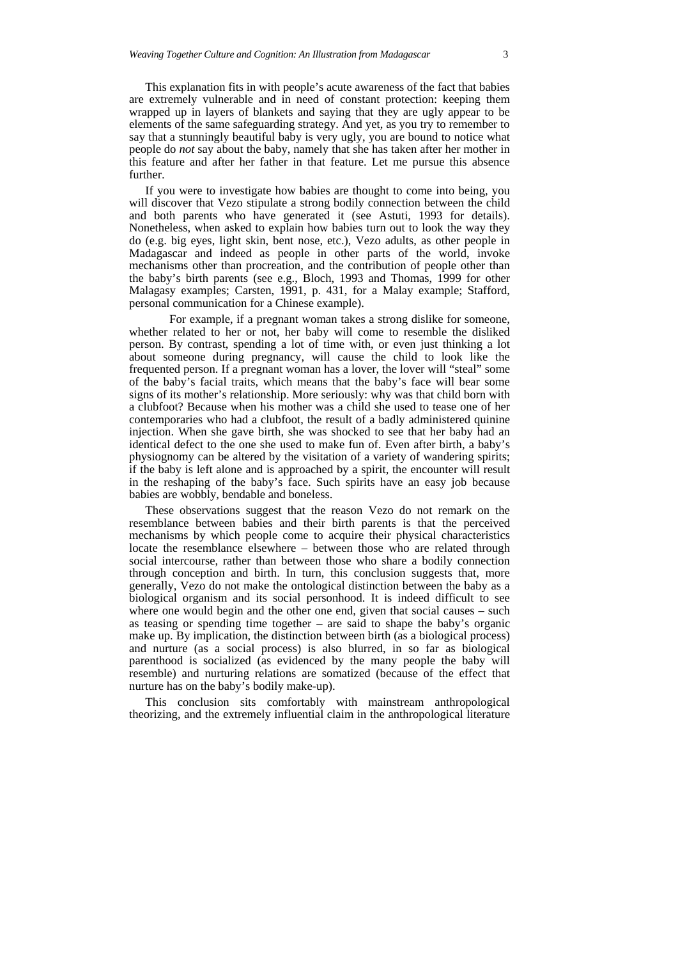This explanation fits in with people's acute awareness of the fact that babies are extremely vulnerable and in need of constant protection: keeping them wrapped up in layers of blankets and saying that they are ugly appear to be elements of the same safeguarding strategy. And yet, as you try to remember to say that a stunningly beautiful baby is very ugly, you are bound to notice what people do *not* say about the baby, namely that she has taken after her mother in this feature and after her father in that feature. Let me pursue this absence further.

If you were to investigate how babies are thought to come into being, you will discover that Vezo stipulate a strong bodily connection between the child and both parents who have generated it (see Astuti, 1993 for details). Nonetheless, when asked to explain how babies turn out to look the way they do (e.g. big eyes, light skin, bent nose, etc.), Vezo adults, as other people in Madagascar and indeed as people in other parts of the world, invoke mechanisms other than procreation, and the contribution of people other than the baby's birth parents (see e.g., Bloch, 1993 and Thomas, 1999 for other Malagasy examples; Carsten, 1991, p. 431, for a Malay example; Stafford, personal communication for a Chinese example).

 For example, if a pregnant woman takes a strong dislike for someone, whether related to her or not, her baby will come to resemble the disliked person. By contrast, spending a lot of time with, or even just thinking a lot about someone during pregnancy, will cause the child to look like the frequented person. If a pregnant woman has a lover, the lover will "steal" some of the baby's facial traits, which means that the baby's face will bear some signs of its mother's relationship. More seriously: why was that child born with a clubfoot? Because when his mother was a child she used to tease one of her contemporaries who had a clubfoot, the result of a badly administered quinine injection. When she gave birth, she was shocked to see that her baby had an identical defect to the one she used to make fun of. Even after birth, a baby's physiognomy can be altered by the visitation of a variety of wandering spirits; if the baby is left alone and is approached by a spirit, the encounter will result in the reshaping of the baby's face. Such spirits have an easy job because babies are wobbly, bendable and boneless.

These observations suggest that the reason Vezo do not remark on the resemblance between babies and their birth parents is that the perceived mechanisms by which people come to acquire their physical characteristics locate the resemblance elsewhere – between those who are related through social intercourse, rather than between those who share a bodily connection through conception and birth. In turn, this conclusion suggests that, more generally, Vezo do not make the ontological distinction between the baby as a biological organism and its social personhood. It is indeed difficult to see where one would begin and the other one end, given that social causes – such as teasing or spending time together – are said to shape the baby's organic make up. By implication, the distinction between birth (as a biological process) and nurture (as a social process) is also blurred, in so far as biological parenthood is socialized (as evidenced by the many people the baby will resemble) and nurturing relations are somatized (because of the effect that nurture has on the baby's bodily make-up).

This conclusion sits comfortably with mainstream anthropological theorizing, and the extremely influential claim in the anthropological literature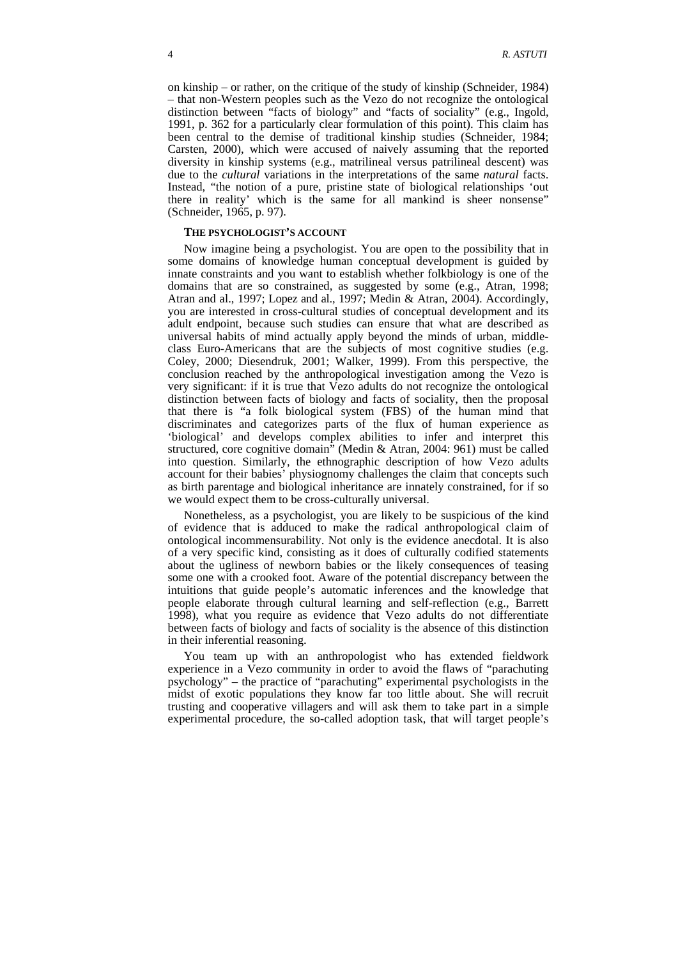on kinship – or rather, on the critique of the study of kinship (Schneider, 1984) – that non-Western peoples such as the Vezo do not recognize the ontological distinction between "facts of biology" and "facts of sociality" (e.g., Ingold, 1991, p. 362 for a particularly clear formulation of this point). This claim has been central to the demise of traditional kinship studies (Schneider, 1984; Carsten, 2000), which were accused of naively assuming that the reported diversity in kinship systems (e.g., matrilineal versus patrilineal descent) was due to the *cultural* variations in the interpretations of the same *natural* facts. Instead, "the notion of a pure, pristine state of biological relationships 'out there in reality' which is the same for all mankind is sheer nonsense" (Schneider, 1965, p. 97).

#### **THE PSYCHOLOGIST'S ACCOUNT**

Now imagine being a psychologist. You are open to the possibility that in some domains of knowledge human conceptual development is guided by innate constraints and you want to establish whether folkbiology is one of the domains that are so constrained, as suggested by some (e.g., Atran, 1998; Atran and al., 1997; Lopez and al., 1997; Medin & Atran, 2004). Accordingly, you are interested in cross-cultural studies of conceptual development and its adult endpoint, because such studies can ensure that what are described as universal habits of mind actually apply beyond the minds of urban, middleclass Euro-Americans that are the subjects of most cognitive studies (e.g. Coley, 2000; Diesendruk, 2001; Walker, 1999). From this perspective, the conclusion reached by the anthropological investigation among the Vezo is very significant: if it is true that Vezo adults do not recognize the ontological distinction between facts of biology and facts of sociality, then the proposal that there is "a folk biological system (FBS) of the human mind that discriminates and categorizes parts of the flux of human experience as 'biological' and develops complex abilities to infer and interpret this structured, core cognitive domain" (Medin & Atran, 2004: 961) must be called into question. Similarly, the ethnographic description of how Vezo adults account for their babies' physiognomy challenges the claim that concepts such as birth parentage and biological inheritance are innately constrained, for if so we would expect them to be cross-culturally universal.

Nonetheless, as a psychologist, you are likely to be suspicious of the kind of evidence that is adduced to make the radical anthropological claim of ontological incommensurability. Not only is the evidence anecdotal. It is also of a very specific kind, consisting as it does of culturally codified statements about the ugliness of newborn babies or the likely consequences of teasing some one with a crooked foot. Aware of the potential discrepancy between the intuitions that guide people's automatic inferences and the knowledge that people elaborate through cultural learning and self-reflection (e.g., Barrett 1998), what you require as evidence that Vezo adults do not differentiate between facts of biology and facts of sociality is the absence of this distinction in their inferential reasoning.

You team up with an anthropologist who has extended fieldwork experience in a Vezo community in order to avoid the flaws of "parachuting psychology" – the practice of "parachuting" experimental psychologists in the midst of exotic populations they know far too little about. She will recruit trusting and cooperative villagers and will ask them to take part in a simple experimental procedure, the so-called adoption task, that will target people's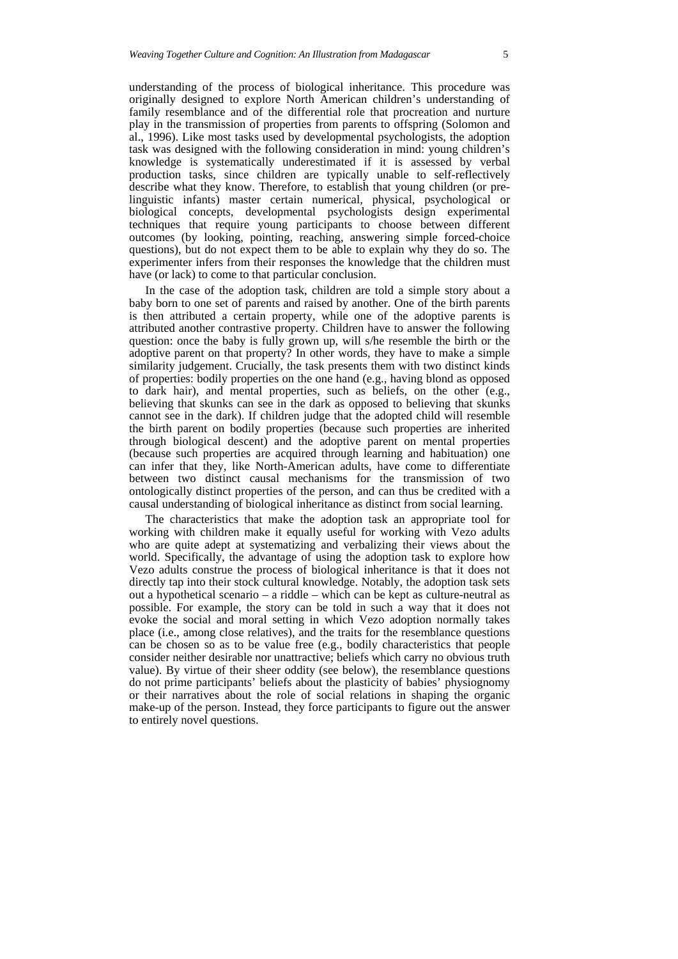understanding of the process of biological inheritance. This procedure was originally designed to explore North American children's understanding of family resemblance and of the differential role that procreation and nurture play in the transmission of properties from parents to offspring (Solomon and al., 1996). Like most tasks used by developmental psychologists, the adoption task was designed with the following consideration in mind: young children's knowledge is systematically underestimated if it is assessed by verbal production tasks, since children are typically unable to self-reflectively describe what they know. Therefore, to establish that young children (or prelinguistic infants) master certain numerical, physical, psychological or biological concepts, developmental psychologists design experimental techniques that require young participants to choose between different outcomes (by looking, pointing, reaching, answering simple forced-choice questions), but do not expect them to be able to explain why they do so. The experimenter infers from their responses the knowledge that the children must have (or lack) to come to that particular conclusion.

In the case of the adoption task, children are told a simple story about a baby born to one set of parents and raised by another. One of the birth parents is then attributed a certain property, while one of the adoptive parents is attributed another contrastive property. Children have to answer the following question: once the baby is fully grown up, will s/he resemble the birth or the adoptive parent on that property? In other words, they have to make a simple similarity judgement. Crucially, the task presents them with two distinct kinds of properties: bodily properties on the one hand (e.g., having blond as opposed to dark hair), and mental properties, such as beliefs, on the other (e.g., believing that skunks can see in the dark as opposed to believing that skunks cannot see in the dark). If children judge that the adopted child will resemble the birth parent on bodily properties (because such properties are inherited through biological descent) and the adoptive parent on mental properties (because such properties are acquired through learning and habituation) one can infer that they, like North-American adults, have come to differentiate between two distinct causal mechanisms for the transmission of two ontologically distinct properties of the person, and can thus be credited with a causal understanding of biological inheritance as distinct from social learning.

The characteristics that make the adoption task an appropriate tool for working with children make it equally useful for working with Vezo adults who are quite adept at systematizing and verbalizing their views about the world. Specifically, the advantage of using the adoption task to explore how Vezo adults construe the process of biological inheritance is that it does not directly tap into their stock cultural knowledge. Notably, the adoption task sets out a hypothetical scenario – a riddle – which can be kept as culture-neutral as possible. For example, the story can be told in such a way that it does not evoke the social and moral setting in which Vezo adoption normally takes place (i.e., among close relatives), and the traits for the resemblance questions can be chosen so as to be value free (e.g., bodily characteristics that people consider neither desirable nor unattractive; beliefs which carry no obvious truth value). By virtue of their sheer oddity (see below), the resemblance questions do not prime participants' beliefs about the plasticity of babies' physiognomy or their narratives about the role of social relations in shaping the organic make-up of the person. Instead, they force participants to figure out the answer to entirely novel questions.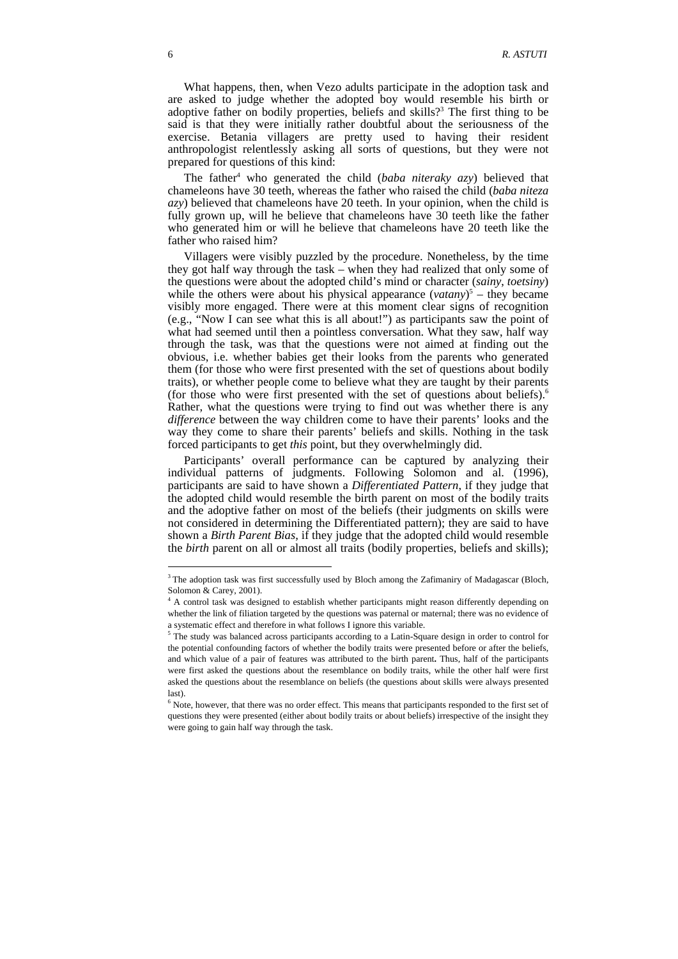What happens, then, when Vezo adults participate in the adoption task and are asked to judge whether the adopted boy would resemble his birth or adoptive father on bodily properties, beliefs and skills?<sup>3</sup> The first thing to be said is that they were initially rather doubtful about the seriousness of the exercise. Betania villagers are pretty used to having their resident anthropologist relentlessly asking all sorts of questions, but they were not prepared for questions of this kind:

The father<sup>4</sup> who generated the child (*baba niteraky azy*) believed that chameleons have 30 teeth, whereas the father who raised the child (*baba niteza azy*) believed that chameleons have 20 teeth. In your opinion, when the child is fully grown up, will he believe that chameleons have 30 teeth like the father who generated him or will he believe that chameleons have 20 teeth like the father who raised him?

Villagers were visibly puzzled by the procedure. Nonetheless, by the time they got half way through the task – when they had realized that only some of the questions were about the adopted child's mind or character (*sainy*, *toetsiny*) while the others were about his physical appearance  $(vatany)^5$  – they became visibly more engaged. There were at this moment clear signs of recognition (e.g., "Now I can see what this is all about!") as participants saw the point of what had seemed until then a pointless conversation. What they saw, half way through the task, was that the questions were not aimed at finding out the obvious, i.e. whether babies get their looks from the parents who generated them (for those who were first presented with the set of questions about bodily traits), or whether people come to believe what they are taught by their parents (for those who were first presented with the set of questions about beliefs).6 Rather, what the questions were trying to find out was whether there is any *difference* between the way children come to have their parents' looks and the way they come to share their parents' beliefs and skills. Nothing in the task forced participants to get *this* point, but they overwhelmingly did.

Participants' overall performance can be captured by analyzing their individual patterns of judgments. Following Solomon and al. (1996), participants are said to have shown a *Differentiated Pattern*, if they judge that the adopted child would resemble the birth parent on most of the bodily traits and the adoptive father on most of the beliefs (their judgments on skills were not considered in determining the Differentiated pattern); they are said to have shown a *Birth Parent Bias*, if they judge that the adopted child would resemble the *birth* parent on all or almost all traits (bodily properties, beliefs and skills);

1

<sup>&</sup>lt;sup>3</sup> The adoption task was first successfully used by Bloch among the Zafimaniry of Madagascar (Bloch, Solomon & Carey, 2001).

<sup>&</sup>lt;sup>4</sup> A control task was designed to establish whether participants might reason differently depending on whether the link of filiation targeted by the questions was paternal or maternal; there was no evidence of a systematic effect and therefore in what follows I ignore this variable. 5

<sup>&</sup>lt;sup>5</sup> The study was balanced across participants according to a Latin-Square design in order to control for the potential confounding factors of whether the bodily traits were presented before or after the beliefs, and which value of a pair of features was attributed to the birth parent**.** Thus, half of the participants were first asked the questions about the resemblance on bodily traits, while the other half were first asked the questions about the resemblance on beliefs (the questions about skills were always presented last).

<sup>&</sup>lt;sup>6</sup> Note, however, that there was no order effect. This means that participants responded to the first set of questions they were presented (either about bodily traits or about beliefs) irrespective of the insight they were going to gain half way through the task.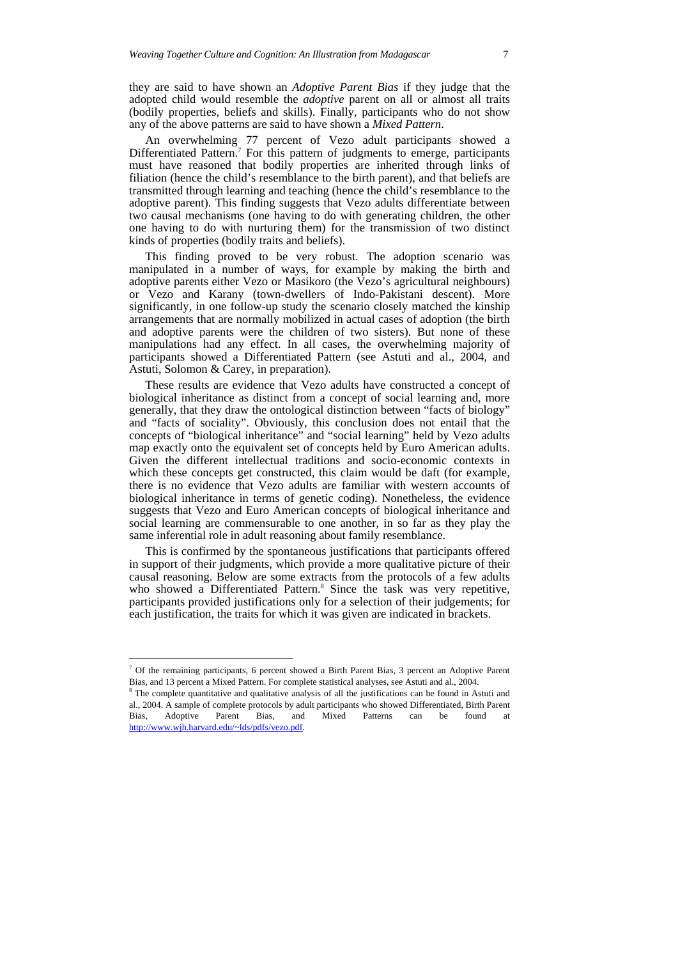they are said to have shown an *Adoptive Parent Bias* if they judge that the adopted child would resemble the *adoptive* parent on all or almost all traits (bodily properties, beliefs and skills). Finally, participants who do not show any of the above patterns are said to have shown a *Mixed Pattern*.

An overwhelming 77 percent of Vezo adult participants showed a Differentiated Pattern.<sup>7</sup> For this pattern of judgments to emerge, participants must have reasoned that bodily properties are inherited through links of filiation (hence the child's resemblance to the birth parent), and that beliefs are transmitted through learning and teaching (hence the child's resemblance to the adoptive parent). This finding suggests that Vezo adults differentiate between two causal mechanisms (one having to do with generating children, the other one having to do with nurturing them) for the transmission of two distinct kinds of properties (bodily traits and beliefs).

This finding proved to be very robust. The adoption scenario was manipulated in a number of ways, for example by making the birth and adoptive parents either Vezo or Masikoro (the Vezo's agricultural neighbours) or Vezo and Karany (town-dwellers of Indo-Pakistani descent). More significantly, in one follow-up study the scenario closely matched the kinship arrangements that are normally mobilized in actual cases of adoption (the birth and adoptive parents were the children of two sisters). But none of these manipulations had any effect. In all cases, the overwhelming majority of participants showed a Differentiated Pattern (see Astuti and al., 2004, and Astuti, Solomon & Carey, in preparation).

These results are evidence that Vezo adults have constructed a concept of biological inheritance as distinct from a concept of social learning and, more generally, that they draw the ontological distinction between "facts of biology" and "facts of sociality". Obviously, this conclusion does not entail that the concepts of "biological inheritance" and "social learning" held by Vezo adults map exactly onto the equivalent set of concepts held by Euro American adults. Given the different intellectual traditions and socio-economic contexts in which these concepts get constructed, this claim would be daft (for example, there is no evidence that Vezo adults are familiar with western accounts of biological inheritance in terms of genetic coding). Nonetheless, the evidence suggests that Vezo and Euro American concepts of biological inheritance and social learning are commensurable to one another, in so far as they play the same inferential role in adult reasoning about family resemblance.

This is confirmed by the spontaneous justifications that participants offered in support of their judgments, which provide a more qualitative picture of their causal reasoning. Below are some extracts from the protocols of a few adults who showed a Differentiated Pattern.<sup>8</sup> Since the task was very repetitive, participants provided justifications only for a selection of their judgements; for each justification, the traits for which it was given are indicated in brackets.

 $\overline{a}$ 

 $<sup>7</sup>$  Of the remaining participants, 6 percent showed a Birth Parent Bias, 3 percent an Adoptive Parent</sup> Bias, and 13 percent a Mixed Pattern. For complete statistical analyses, see Astuti and al., 2004. 8

<sup>&</sup>lt;sup>8</sup> The complete quantitative and qualitative analysis of all the justifications can be found in Astuti and al., 2004. A sample of complete protocols by adult participants who showed Differentiated, Birth Parent Bias, Adoptive Parent Bias, and Mixed Patterns can be found http://www.wjh.harvard.edu/~lds/pdfs/vezo.pdf.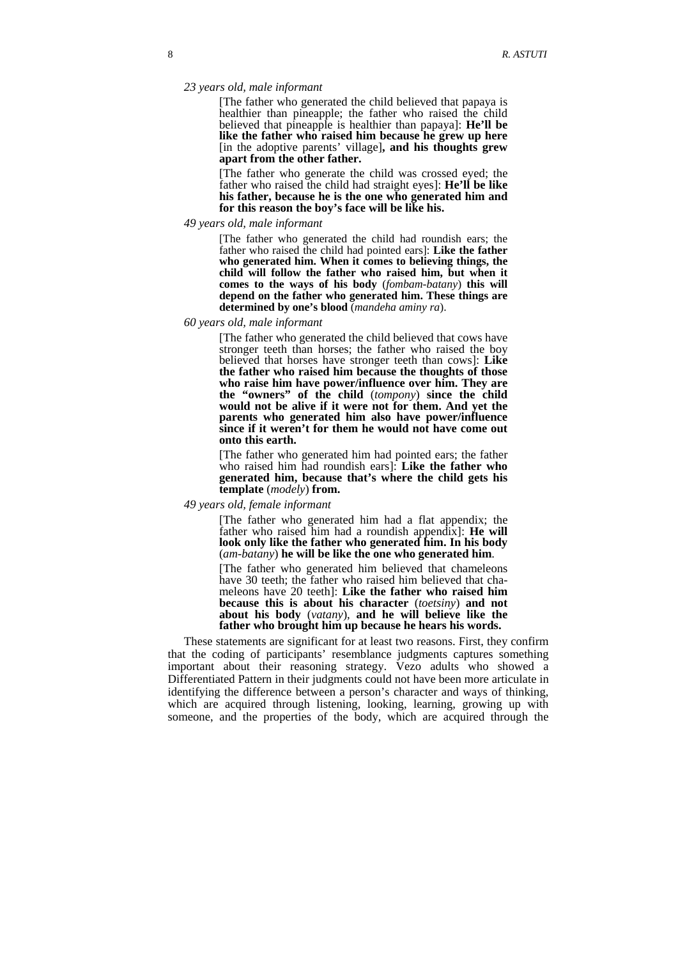#### *23 years old, male informant*

[The father who generated the child believed that papaya is healthier than pineapple; the father who raised the child believed that pineapple is healthier than papaya]: **He'll be like the father who raised him because he grew up here**  [in the adoptive parents' village]**, and his thoughts grew apart from the other father.** 

[The father who generate the child was crossed eyed; the father who raised the child had straight eyes]: **He'll be like his father, because he is the one who generated him and for this reason the boy's face will be like his.**

#### *49 years old, male informant*

[The father who generated the child had roundish ears; the father who raised the child had pointed ears]: **Like the father who generated him. When it comes to believing things, the child will follow the father who raised him, but when it comes to the ways of his body** (*fombam-batany*) **this will depend on the father who generated him. These things are determined by one's blood** (*mandeha aminy ra*).

*60 years old, male informant* 

[The father who generated the child believed that cows have stronger teeth than horses; the father who raised the boy believed that horses have stronger teeth than cows]: **Like the father who raised him because the thoughts of those who raise him have power/influence over him. They are the "owners" of the child** (*tompony*) **since the child would not be alive if it were not for them. And yet the parents who generated him also have power/influence since if it weren't for them he would not have come out onto this earth.** 

[The father who generated him had pointed ears; the father who raised him had roundish ears]: **Like the father who generated him, because that's where the child gets his template** (*modely*) **from.** 

#### *49 years old, female informant*

[The father who generated him had a flat appendix; the father who raised him had a roundish appendix]: **He will look only like the father who generated him. In his body**  (*am-batany*) **he will be like the one who generated him**.

[The father who generated him believed that chameleons have 30 teeth; the father who raised him believed that chameleons have 20 teeth]: **Like the father who raised him because this is about his character** (*toetsiny*) **and not about his body** (*vatany*), **and he will believe like the father who brought him up because he hears his words.** 

These statements are significant for at least two reasons. First, they confirm that the coding of participants' resemblance judgments captures something important about their reasoning strategy. Vezo adults who showed a Differentiated Pattern in their judgments could not have been more articulate in identifying the difference between a person's character and ways of thinking, which are acquired through listening, looking, learning, growing up with someone, and the properties of the body, which are acquired through the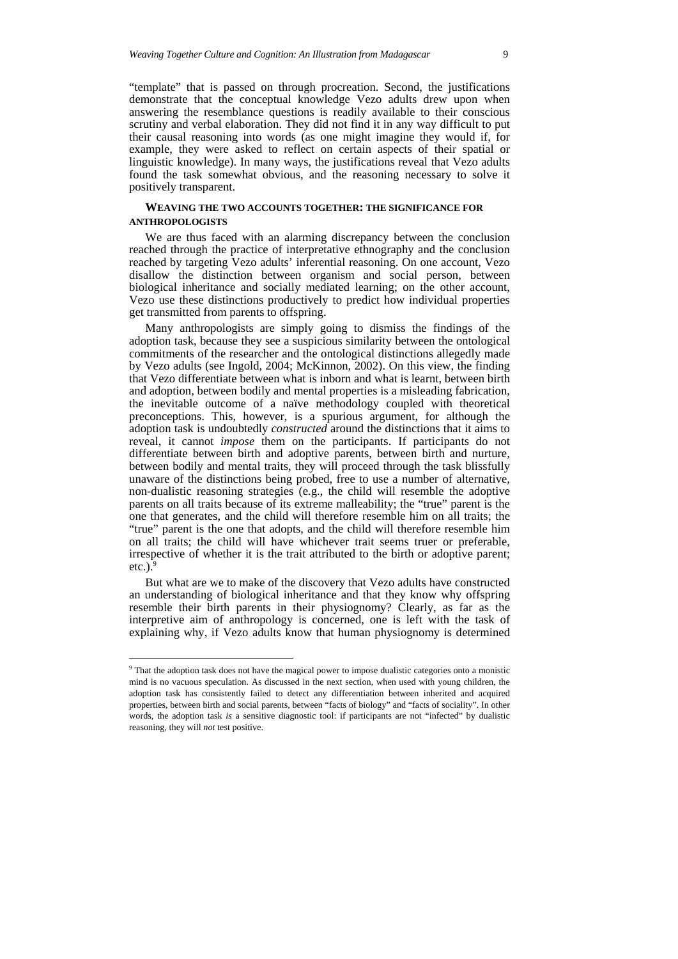"template" that is passed on through procreation. Second, the justifications demonstrate that the conceptual knowledge Vezo adults drew upon when answering the resemblance questions is readily available to their conscious scrutiny and verbal elaboration. They did not find it in any way difficult to put their causal reasoning into words (as one might imagine they would if, for example, they were asked to reflect on certain aspects of their spatial or linguistic knowledge). In many ways, the justifications reveal that Vezo adults found the task somewhat obvious, and the reasoning necessary to solve it positively transparent.

#### **WEAVING THE TWO ACCOUNTS TOGETHER: THE SIGNIFICANCE FOR ANTHROPOLOGISTS**

We are thus faced with an alarming discrepancy between the conclusion reached through the practice of interpretative ethnography and the conclusion reached by targeting Vezo adults' inferential reasoning. On one account, Vezo disallow the distinction between organism and social person, between biological inheritance and socially mediated learning; on the other account, Vezo use these distinctions productively to predict how individual properties get transmitted from parents to offspring.

Many anthropologists are simply going to dismiss the findings of the adoption task, because they see a suspicious similarity between the ontological commitments of the researcher and the ontological distinctions allegedly made by Vezo adults (see Ingold, 2004; McKinnon, 2002). On this view, the finding that Vezo differentiate between what is inborn and what is learnt, between birth and adoption, between bodily and mental properties is a misleading fabrication, the inevitable outcome of a naïve methodology coupled with theoretical preconceptions. This, however, is a spurious argument, for although the adoption task is undoubtedly *constructed* around the distinctions that it aims to reveal, it cannot *impose* them on the participants. If participants do not differentiate between birth and adoptive parents, between birth and nurture, between bodily and mental traits, they will proceed through the task blissfully unaware of the distinctions being probed, free to use a number of alternative, non-dualistic reasoning strategies (e.g., the child will resemble the adoptive parents on all traits because of its extreme malleability; the "true" parent is the one that generates, and the child will therefore resemble him on all traits; the "true" parent is the one that adopts, and the child will therefore resemble him on all traits; the child will have whichever trait seems truer or preferable, irrespective of whether it is the trait attributed to the birth or adoptive parent;  $etc.$ ).<sup>9</sup>

But what are we to make of the discovery that Vezo adults have constructed an understanding of biological inheritance and that they know why offspring resemble their birth parents in their physiognomy? Clearly, as far as the interpretive aim of anthropology is concerned, one is left with the task of explaining why, if Vezo adults know that human physiognomy is determined

 $\overline{a}$ 

<sup>&</sup>lt;sup>9</sup> That the adoption task does not have the magical power to impose dualistic categories onto a monistic mind is no vacuous speculation. As discussed in the next section, when used with young children, the adoption task has consistently failed to detect any differentiation between inherited and acquired properties, between birth and social parents, between "facts of biology" and "facts of sociality". In other words, the adoption task *is* a sensitive diagnostic tool: if participants are not "infected" by dualistic reasoning, they will *not* test positive.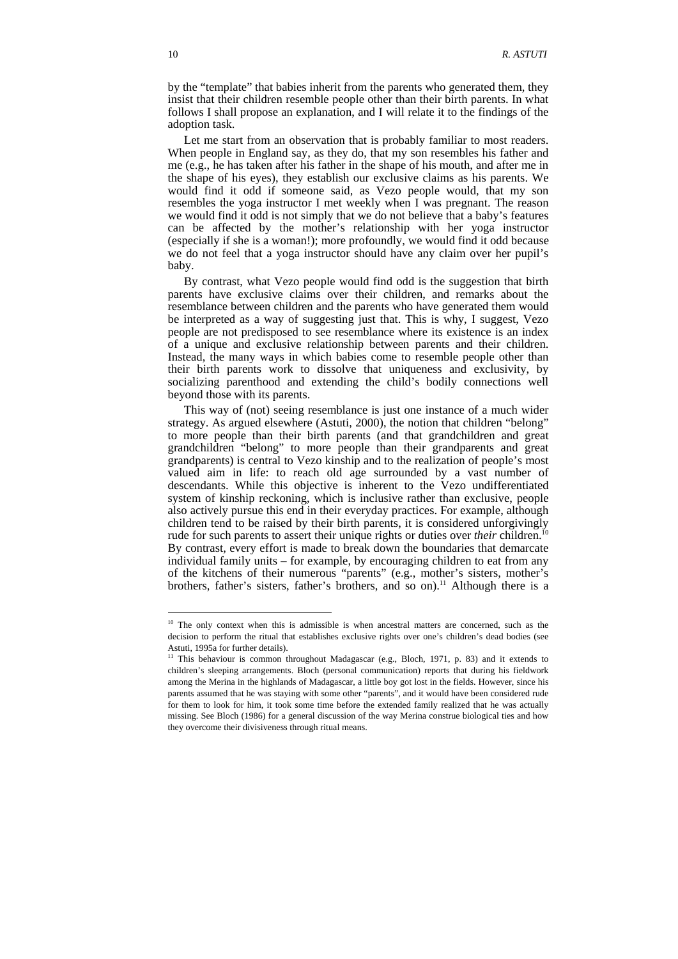by the "template" that babies inherit from the parents who generated them, they insist that their children resemble people other than their birth parents. In what follows I shall propose an explanation, and I will relate it to the findings of the adoption task.

Let me start from an observation that is probably familiar to most readers. When people in England say, as they do, that my son resembles his father and me (e.g., he has taken after his father in the shape of his mouth, and after me in the shape of his eyes), they establish our exclusive claims as his parents. We would find it odd if someone said, as Vezo people would, that my son resembles the yoga instructor I met weekly when I was pregnant. The reason we would find it odd is not simply that we do not believe that a baby's features can be affected by the mother's relationship with her yoga instructor (especially if she is a woman!); more profoundly, we would find it odd because we do not feel that a yoga instructor should have any claim over her pupil's baby.

By contrast, what Vezo people would find odd is the suggestion that birth parents have exclusive claims over their children, and remarks about the resemblance between children and the parents who have generated them would be interpreted as a way of suggesting just that. This is why, I suggest, Vezo people are not predisposed to see resemblance where its existence is an index of a unique and exclusive relationship between parents and their children. Instead, the many ways in which babies come to resemble people other than their birth parents work to dissolve that uniqueness and exclusivity, by socializing parenthood and extending the child's bodily connections well beyond those with its parents.

This way of (not) seeing resemblance is just one instance of a much wider strategy. As argued elsewhere (Astuti, 2000), the notion that children "belong" to more people than their birth parents (and that grandchildren and great grandchildren "belong" to more people than their grandparents and great grandparents) is central to Vezo kinship and to the realization of people's most valued aim in life: to reach old age surrounded by a vast number of descendants. While this objective is inherent to the Vezo undifferentiated system of kinship reckoning, which is inclusive rather than exclusive, people also actively pursue this end in their everyday practices. For example, although children tend to be raised by their birth parents, it is considered unforgivingly rude for such parents to assert their unique rights or duties over *their* children. By contrast, every effort is made to break down the boundaries that demarcate individual family units – for example, by encouraging children to eat from any of the kitchens of their numerous "parents" (e.g., mother's sisters, mother's brothers, father's sisters, father's brothers, and so on).<sup>11</sup> Although there is a

1

<sup>&</sup>lt;sup>10</sup> The only context when this is admissible is when ancestral matters are concerned, such as the decision to perform the ritual that establishes exclusive rights over one's children's dead bodies (see Astuti, 1995a for further details).

<sup>&</sup>lt;sup>11</sup> This behaviour is common throughout Madagascar (e.g., Bloch, 1971, p. 83) and it extends to children's sleeping arrangements. Bloch (personal communication) reports that during his fieldwork among the Merina in the highlands of Madagascar, a little boy got lost in the fields. However, since his parents assumed that he was staying with some other "parents", and it would have been considered rude for them to look for him, it took some time before the extended family realized that he was actually missing. See Bloch (1986) for a general discussion of the way Merina construe biological ties and how they overcome their divisiveness through ritual means.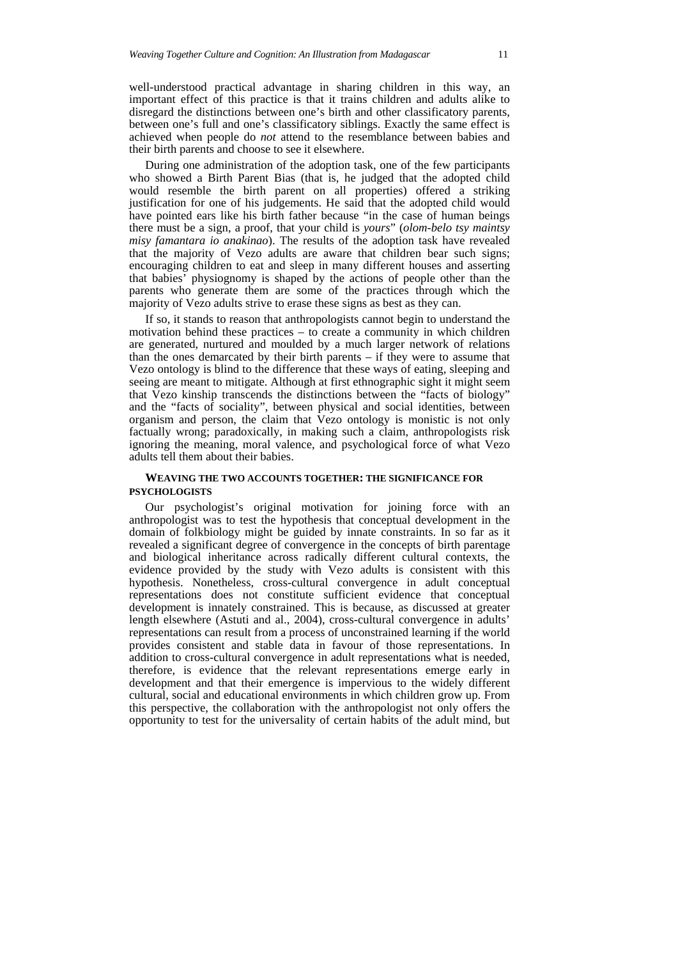well-understood practical advantage in sharing children in this way, an important effect of this practice is that it trains children and adults alike to disregard the distinctions between one's birth and other classificatory parents, between one's full and one's classificatory siblings. Exactly the same effect is achieved when people do *not* attend to the resemblance between babies and their birth parents and choose to see it elsewhere.

During one administration of the adoption task, one of the few participants who showed a Birth Parent Bias (that is, he judged that the adopted child would resemble the birth parent on all properties) offered a striking justification for one of his judgements. He said that the adopted child would have pointed ears like his birth father because "in the case of human beings there must be a sign, a proof, that your child is *yours*" (*olom-belo tsy maintsy misy famantara io anakinao*). The results of the adoption task have revealed that the majority of Vezo adults are aware that children bear such signs; encouraging children to eat and sleep in many different houses and asserting that babies' physiognomy is shaped by the actions of people other than the parents who generate them are some of the practices through which the majority of Vezo adults strive to erase these signs as best as they can.

If so, it stands to reason that anthropologists cannot begin to understand the motivation behind these practices – to create a community in which children are generated, nurtured and moulded by a much larger network of relations than the ones demarcated by their birth parents – if they were to assume that Vezo ontology is blind to the difference that these ways of eating, sleeping and seeing are meant to mitigate. Although at first ethnographic sight it might seem that Vezo kinship transcends the distinctions between the "facts of biology" and the "facts of sociality", between physical and social identities, between organism and person, the claim that Vezo ontology is monistic is not only factually wrong; paradoxically, in making such a claim, anthropologists risk ignoring the meaning, moral valence, and psychological force of what Vezo adults tell them about their babies.

#### **WEAVING THE TWO ACCOUNTS TOGETHER: THE SIGNIFICANCE FOR PSYCHOLOGISTS**

Our psychologist's original motivation for joining force with an anthropologist was to test the hypothesis that conceptual development in the domain of folkbiology might be guided by innate constraints. In so far as it revealed a significant degree of convergence in the concepts of birth parentage and biological inheritance across radically different cultural contexts, the evidence provided by the study with Vezo adults is consistent with this hypothesis. Nonetheless, cross-cultural convergence in adult conceptual representations does not constitute sufficient evidence that conceptual development is innately constrained. This is because, as discussed at greater length elsewhere (Astuti and al., 2004), cross-cultural convergence in adults' representations can result from a process of unconstrained learning if the world provides consistent and stable data in favour of those representations. In addition to cross-cultural convergence in adult representations what is needed, therefore, is evidence that the relevant representations emerge early in development and that their emergence is impervious to the widely different cultural, social and educational environments in which children grow up. From this perspective, the collaboration with the anthropologist not only offers the opportunity to test for the universality of certain habits of the adult mind, but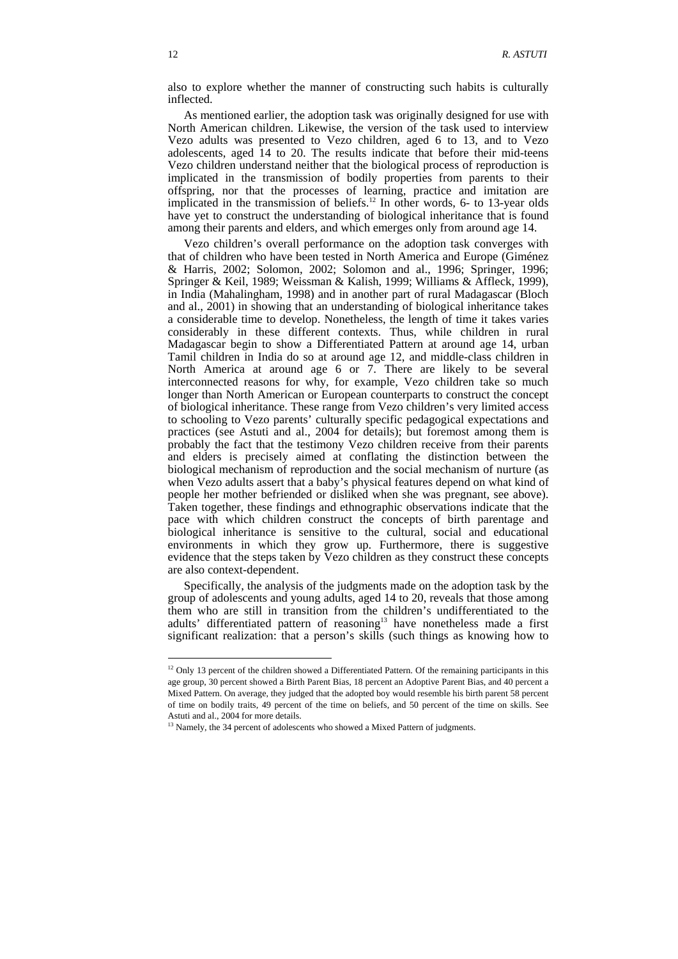also to explore whether the manner of constructing such habits is culturally inflected.

As mentioned earlier, the adoption task was originally designed for use with North American children. Likewise, the version of the task used to interview Vezo adults was presented to Vezo children, aged 6 to 13, and to Vezo adolescents, aged 14 to 20. The results indicate that before their mid-teens Vezo children understand neither that the biological process of reproduction is implicated in the transmission of bodily properties from parents to their offspring, nor that the processes of learning, practice and imitation are implicated in the transmission of beliefs.12 In other words, 6- to 13-year olds have yet to construct the understanding of biological inheritance that is found among their parents and elders, and which emerges only from around age 14.

Vezo children's overall performance on the adoption task converges with that of children who have been tested in North America and Europe (Giménez & Harris, 2002; Solomon, 2002; Solomon and al., 1996; Springer, 1996; Springer & Keil, 1989; Weissman & Kalish, 1999; Williams & Affleck, 1999), in India (Mahalingham, 1998) and in another part of rural Madagascar (Bloch and al., 2001) in showing that an understanding of biological inheritance takes a considerable time to develop. Nonetheless, the length of time it takes varies considerably in these different contexts. Thus, while children in rural Madagascar begin to show a Differentiated Pattern at around age 14, urban Tamil children in India do so at around age 12, and middle-class children in North America at around age 6 or 7. There are likely to be several interconnected reasons for why, for example, Vezo children take so much longer than North American or European counterparts to construct the concept of biological inheritance. These range from Vezo children's very limited access to schooling to Vezo parents' culturally specific pedagogical expectations and practices (see Astuti and al., 2004 for details); but foremost among them is probably the fact that the testimony Vezo children receive from their parents and elders is precisely aimed at conflating the distinction between the biological mechanism of reproduction and the social mechanism of nurture (as when Vezo adults assert that a baby's physical features depend on what kind of people her mother befriended or disliked when she was pregnant, see above). Taken together, these findings and ethnographic observations indicate that the pace with which children construct the concepts of birth parentage and biological inheritance is sensitive to the cultural, social and educational environments in which they grow up. Furthermore, there is suggestive evidence that the steps taken by Vezo children as they construct these concepts are also context-dependent.

Specifically, the analysis of the judgments made on the adoption task by the group of adolescents and young adults, aged 14 to 20, reveals that those among them who are still in transition from the children's undifferentiated to the adults' differentiated pattern of reasoning<sup>13</sup> have nonetheless made a first significant realization: that a person's skills (such things as knowing how to

<u>.</u>

<sup>&</sup>lt;sup>12</sup> Only 13 percent of the children showed a Differentiated Pattern. Of the remaining participants in this age group, 30 percent showed a Birth Parent Bias, 18 percent an Adoptive Parent Bias, and 40 percent a Mixed Pattern. On average, they judged that the adopted boy would resemble his birth parent 58 percent of time on bodily traits, 49 percent of the time on beliefs, and 50 percent of the time on skills. See Astuti and al., 2004 for more details.

<sup>&</sup>lt;sup>13</sup> Namely, the 34 percent of adolescents who showed a Mixed Pattern of judgments.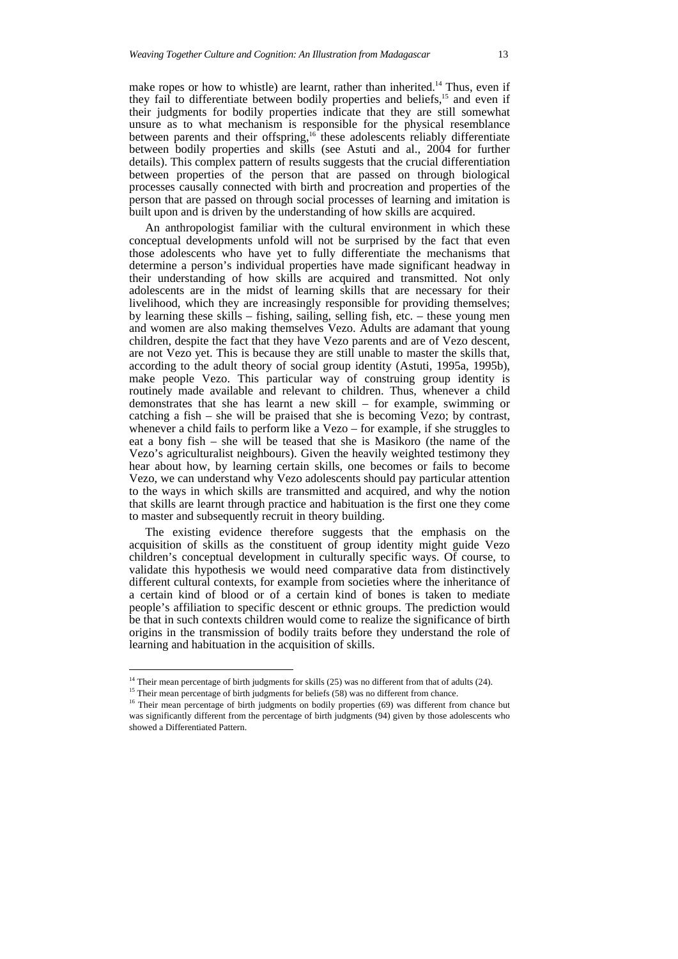make ropes or how to whistle) are learnt, rather than inherited.<sup>14</sup> Thus, even if they fail to differentiate between bodily properties and beliefs,<sup>15</sup> and even if their judgments for bodily properties indicate that they are still somewhat unsure as to what mechanism is responsible for the physical resemblance between parents and their offspring,<sup>16</sup> these adolescents reliably differentiate between bodily properties and skills (see Astuti and al., 2004 for further details). This complex pattern of results suggests that the crucial differentiation between properties of the person that are passed on through biological processes causally connected with birth and procreation and properties of the person that are passed on through social processes of learning and imitation is built upon and is driven by the understanding of how skills are acquired.

An anthropologist familiar with the cultural environment in which these conceptual developments unfold will not be surprised by the fact that even those adolescents who have yet to fully differentiate the mechanisms that determine a person's individual properties have made significant headway in their understanding of how skills are acquired and transmitted. Not only adolescents are in the midst of learning skills that are necessary for their livelihood, which they are increasingly responsible for providing themselves; by learning these skills – fishing, sailing, selling fish, etc. – these young men and women are also making themselves Vezo. Adults are adamant that young children, despite the fact that they have Vezo parents and are of Vezo descent, are not Vezo yet. This is because they are still unable to master the skills that, according to the adult theory of social group identity (Astuti, 1995a, 1995b), make people Vezo. This particular way of construing group identity is routinely made available and relevant to children. Thus, whenever a child demonstrates that she has learnt a new skill – for example, swimming or catching a fish – she will be praised that she is becoming Vezo; by contrast, whenever a child fails to perform like a Vezo – for example, if she struggles to eat a bony fish – she will be teased that she is Masikoro (the name of the Vezo's agriculturalist neighbours). Given the heavily weighted testimony they hear about how, by learning certain skills, one becomes or fails to become Vezo, we can understand why Vezo adolescents should pay particular attention to the ways in which skills are transmitted and acquired, and why the notion that skills are learnt through practice and habituation is the first one they come to master and subsequently recruit in theory building.

The existing evidence therefore suggests that the emphasis on the acquisition of skills as the constituent of group identity might guide Vezo children's conceptual development in culturally specific ways. Of course, to validate this hypothesis we would need comparative data from distinctively different cultural contexts, for example from societies where the inheritance of a certain kind of blood or of a certain kind of bones is taken to mediate people's affiliation to specific descent or ethnic groups. The prediction would be that in such contexts children would come to realize the significance of birth origins in the transmission of bodily traits before they understand the role of learning and habituation in the acquisition of skills.

 $\overline{a}$ 

<sup>&</sup>lt;sup>14</sup> Their mean percentage of birth judgments for skills (25) was no different from that of adults (24).<br><sup>15</sup> Their mean percentage of birth judgments for beliefs (58) was no different from chance.<br><sup>16</sup> Their mean percent

was significantly different from the percentage of birth judgments (94) given by those adolescents who showed a Differentiated Pattern.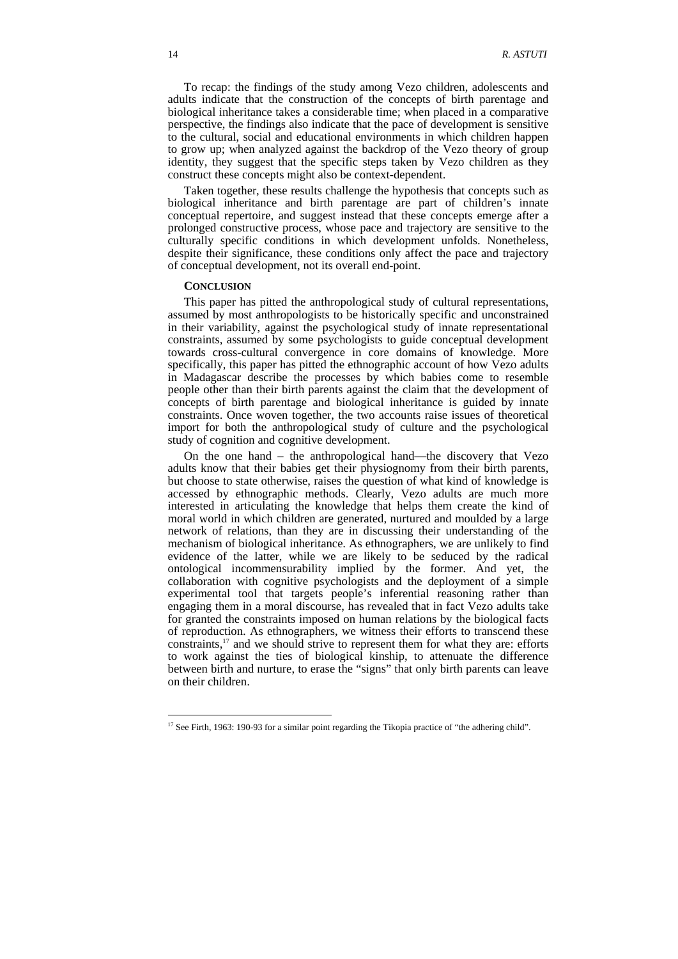To recap: the findings of the study among Vezo children, adolescents and adults indicate that the construction of the concepts of birth parentage and biological inheritance takes a considerable time; when placed in a comparative perspective, the findings also indicate that the pace of development is sensitive to the cultural, social and educational environments in which children happen to grow up; when analyzed against the backdrop of the Vezo theory of group identity, they suggest that the specific steps taken by Vezo children as they construct these concepts might also be context-dependent.

Taken together, these results challenge the hypothesis that concepts such as biological inheritance and birth parentage are part of children's innate conceptual repertoire, and suggest instead that these concepts emerge after a prolonged constructive process, whose pace and trajectory are sensitive to the culturally specific conditions in which development unfolds. Nonetheless, despite their significance, these conditions only affect the pace and trajectory of conceptual development, not its overall end-point.

#### **CONCLUSION**

1

This paper has pitted the anthropological study of cultural representations, assumed by most anthropologists to be historically specific and unconstrained in their variability, against the psychological study of innate representational constraints, assumed by some psychologists to guide conceptual development towards cross-cultural convergence in core domains of knowledge. More specifically, this paper has pitted the ethnographic account of how Vezo adults in Madagascar describe the processes by which babies come to resemble people other than their birth parents against the claim that the development of concepts of birth parentage and biological inheritance is guided by innate constraints. Once woven together, the two accounts raise issues of theoretical import for both the anthropological study of culture and the psychological study of cognition and cognitive development.

On the one hand – the anthropological hand—the discovery that Vezo adults know that their babies get their physiognomy from their birth parents, but choose to state otherwise, raises the question of what kind of knowledge is accessed by ethnographic methods. Clearly, Vezo adults are much more interested in articulating the knowledge that helps them create the kind of moral world in which children are generated, nurtured and moulded by a large network of relations, than they are in discussing their understanding of the mechanism of biological inheritance. As ethnographers, we are unlikely to find evidence of the latter, while we are likely to be seduced by the radical ontological incommensurability implied by the former. And yet, the collaboration with cognitive psychologists and the deployment of a simple experimental tool that targets people's inferential reasoning rather than engaging them in a moral discourse, has revealed that in fact Vezo adults take for granted the constraints imposed on human relations by the biological facts of reproduction. As ethnographers, we witness their efforts to transcend these constraints,17 and we should strive to represent them for what they are: efforts to work against the ties of biological kinship, to attenuate the difference between birth and nurture, to erase the "signs" that only birth parents can leave on their children.

<sup>&</sup>lt;sup>17</sup> See Firth, 1963: 190-93 for a similar point regarding the Tikopia practice of "the adhering child".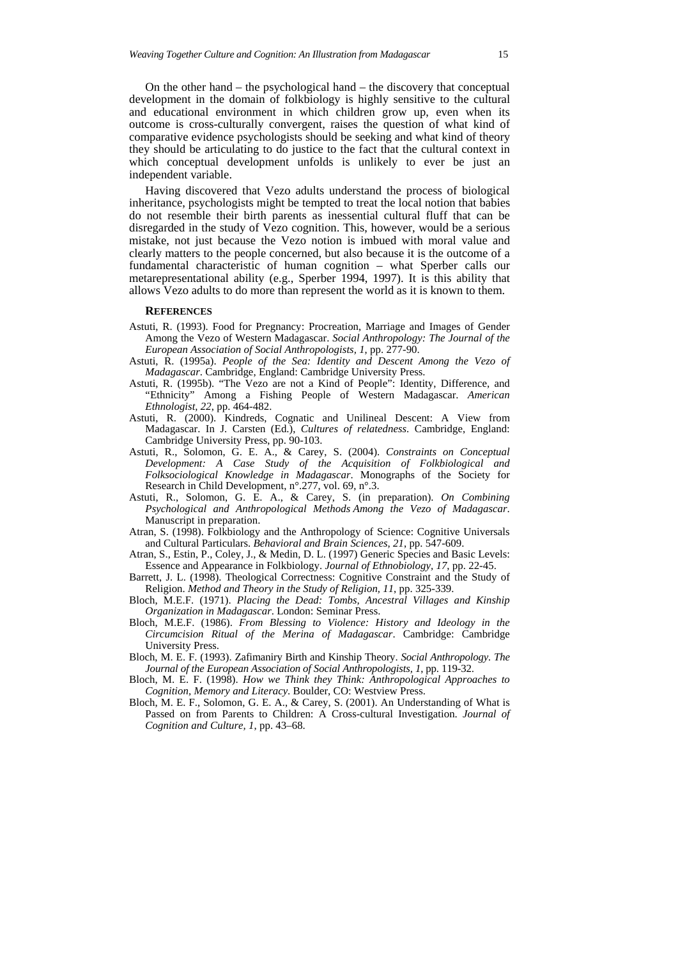On the other hand – the psychological hand – the discovery that conceptual development in the domain of folkbiology is highly sensitive to the cultural and educational environment in which children grow up, even when its outcome is cross-culturally convergent, raises the question of what kind of comparative evidence psychologists should be seeking and what kind of theory they should be articulating to do justice to the fact that the cultural context in which conceptual development unfolds is unlikely to ever be just an independent variable.

Having discovered that Vezo adults understand the process of biological inheritance, psychologists might be tempted to treat the local notion that babies do not resemble their birth parents as inessential cultural fluff that can be disregarded in the study of Vezo cognition. This, however, would be a serious mistake, not just because the Vezo notion is imbued with moral value and clearly matters to the people concerned, but also because it is the outcome of a fundamental characteristic of human cognition – what Sperber calls our metarepresentational ability (e.g., Sperber 1994, 1997). It is this ability that allows Vezo adults to do more than represent the world as it is known to them.

#### **REFERENCES**

- Astuti, R. (1993). Food for Pregnancy: Procreation, Marriage and Images of Gender Among the Vezo of Western Madagascar. *Social Anthropology: The Journal of the European Association of Social Anthropologists, 1*, pp. 277-90.
- Astuti, R. (1995a). *People of the Sea: Identity and Descent Among the Vezo of Madagascar*. Cambridge, England: Cambridge University Press.
- Astuti, R. (1995b). "The Vezo are not a Kind of People": Identity, Difference, and "Ethnicity" Among a Fishing People of Western Madagascar. *American Ethnologist, 22*, pp. 464-482.
- Astuti, R. (2000). Kindreds, Cognatic and Unilineal Descent: A View from Madagascar. In J. Carsten (Ed.), *Cultures of relatedness*. Cambridge, England: Cambridge University Press, pp. 90-103.
- Astuti, R., Solomon, G. E. A., & Carey, S. (2004). *Constraints on Conceptual Development: A Case Study of the Acquisition of Folkbiological and Folksociological Knowledge in Madagascar*. Monographs of the Society for Research in Child Development, n°.277, vol. 69, n°.3.
- Astuti, R., Solomon, G. E. A., & Carey, S. (in preparation). *On Combining Psychological and Anthropological Methods Among the Vezo of Madagascar*. Manuscript in preparation.
- Atran, S. (1998). Folkbiology and the Anthropology of Science: Cognitive Universals and Cultural Particulars. *Behavioral and Brain Sciences, 21*, pp. 547-609.
- Atran, S., Estin, P., Coley, J., & Medin, D. L. (1997) Generic Species and Basic Levels: Essence and Appearance in Folkbiology. *Journal of Ethnobiology, 17*, pp. 22-45.
- Barrett, J. L. (1998). Theological Correctness: Cognitive Constraint and the Study of Religion. *Method and Theory in the Study of Religion, 11*, pp. 325-339.
- Bloch, M.E.F. (1971). *Placing the Dead: Tombs, Ancestral Villages and Kinship Organization in Madagascar*. London: Seminar Press.
- Bloch, M.E.F. (1986). *From Blessing to Violence: History and Ideology in the Circumcision Ritual of the Merina of Madagascar*. Cambridge: Cambridge University Press.
- Bloch, M. E. F. (1993). Zafimaniry Birth and Kinship Theory. *Social Anthropology. The Journal of the European Association of Social Anthropologists, 1*, pp. 119-32.
- Bloch, M. E. F. (1998). *How we Think they Think: Anthropological Approaches to Cognition, Memory and Literacy*. Boulder, CO: Westview Press.
- Bloch, M. E. F., Solomon, G. E. A., & Carey, S. (2001). An Understanding of What is Passed on from Parents to Children: A Cross-cultural Investigation. *Journal of Cognition and Culture, 1*, pp. 43–68.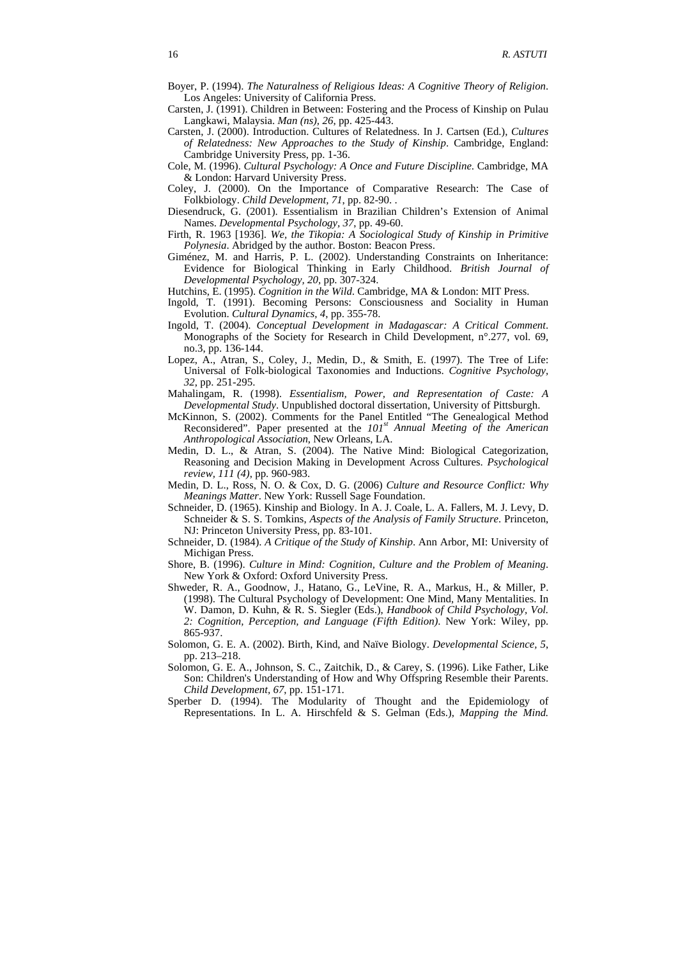- Boyer, P. (1994). *The Naturalness of Religious Ideas: A Cognitive Theory of Religion*. Los Angeles: University of California Press.
- Carsten, J. (1991). Children in Between: Fostering and the Process of Kinship on Pulau Langkawi, Malaysia. *Man (ns), 26*, pp. 425-443.
- Carsten, J. (2000). Introduction. Cultures of Relatedness. In J. Cartsen (Ed.), *Cultures of Relatedness: New Approaches to the Study of Kinship*. Cambridge, England: Cambridge University Press, pp. 1-36.
- Cole, M. (1996). *Cultural Psychology: A Once and Future Discipline*. Cambridge, MA & London: Harvard University Press.
- Coley, J. (2000). On the Importance of Comparative Research: The Case of Folkbiology. *Child Development, 71*, pp. 82-90. .
- Diesendruck, G. (2001). Essentialism in Brazilian Children's Extension of Animal Names. *Developmental Psychology, 37*, pp. 49-60.
- Firth, R. 1963 [1936]. *We, the Tikopia: A Sociological Study of Kinship in Primitive Polynesia*. Abridged by the author. Boston: Beacon Press.
- Giménez, M. and Harris, P. L. (2002). Understanding Constraints on Inheritance: Evidence for Biological Thinking in Early Childhood. *British Journal of Developmental Psychology, 20,* pp. 307-324.

Hutchins, E. (1995). *Cognition in the Wild*. Cambridge, MA & London: MIT Press.

- Ingold, T. (1991). Becoming Persons: Consciousness and Sociality in Human Evolution. *Cultural Dynamics, 4*, pp. 355-78.
- Ingold, T. (2004). *Conceptual Development in Madagascar: A Critical Comment*. Monographs of the Society for Research in Child Development, n°.277, vol. 69, no.3, pp. 136-144.
- Lopez, A., Atran, S., Coley, J., Medin, D., & Smith, E. (1997). The Tree of Life: Universal of Folk-biological Taxonomies and Inductions. *Cognitive Psychology, 32*, pp. 251-295.
- Mahalingam, R. (1998). *Essentialism, Power, and Representation of Caste: A Developmental Study*. Unpublished doctoral dissertation, University of Pittsburgh.
- McKinnon, S. (2002). Comments for the Panel Entitled "The Genealogical Method Reconsidered". Paper presented at the *101st Annual Meeting of the American Anthropological Association*, New Orleans, LA.
- Medin, D. L., & Atran, S. (2004). The Native Mind: Biological Categorization, Reasoning and Decision Making in Development Across Cultures. *Psychological review, 111 (4)*, pp. 960-983.
- Medin, D. L., Ross, N. O. & Cox, D. G. (2006) *Culture and Resource Conflict: Why Meanings Matter*. New York: Russell Sage Foundation.
- Schneider, D. (1965). Kinship and Biology. In A. J. Coale, L. A. Fallers, M. J. Levy, D. Schneider & S. S. Tomkins, *Aspects of the Analysis of Family Structure*. Princeton, NJ: Princeton University Press, pp. 83-101.
- Schneider, D. (1984). *A Critique of the Study of Kinship*. Ann Arbor, MI: University of Michigan Press.
- Shore, B. (1996). *Culture in Mind: Cognition, Culture and the Problem of Meaning*. New York & Oxford: Oxford University Press.
- Shweder, R. A., Goodnow, J., Hatano, G., LeVine, R. A., Markus, H., & Miller, P. (1998). The Cultural Psychology of Development: One Mind, Many Mentalities. In W. Damon, D. Kuhn, & R. S. Siegler (Eds.), *Handbook of Child Psychology, Vol. 2: Cognition, Perception, and Language (Fifth Edition)*. New York: Wiley, pp. 865-937.
- Solomon, G. E. A. (2002). Birth, Kind, and Naïve Biology. *Developmental Science, 5*, pp. 213–218.
- Solomon, G. E. A., Johnson, S. C., Zaitchik, D., & Carey, S. (1996). Like Father, Like Son: Children's Understanding of How and Why Offspring Resemble their Parents. *Child Development, 67*, pp. 151-171.
- Sperber D. (1994). The Modularity of Thought and the Epidemiology of Representations. In L. A. Hirschfeld & S. Gelman (Eds.), *Mapping the Mind.*